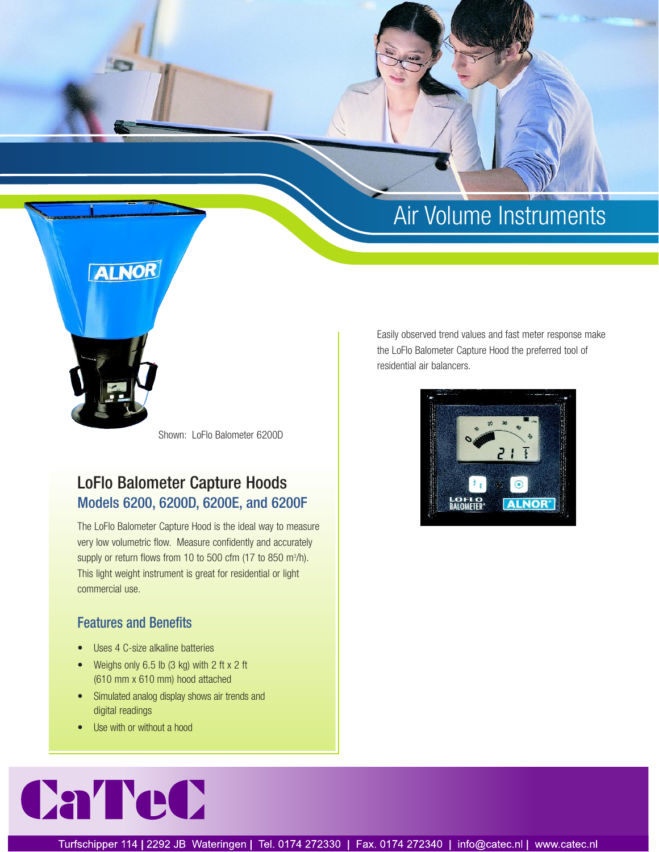# Air Volume Instruments



Shown: LoFlo Balometer 6200D

# LoFlo Balometer Capture Hoods Models 6200, 6200D, 6200E, and 6200F

The LoFlo Balometer Capture Hood is the ideal way to measure very low volumetric flow. Measure confidently and accurately supply or return flows from 10 to 500 cfm  $(17$  to 850 m $\frac{3}{h}$ . This light weight instrument is great for residential or light commercial use.

### Features and Benefits

- Uses 4 C-size alkaline batteries
- Weighs only 6.5 lb (3 kg) with 2 ft x 2 ft (610 mm x 610 mm) hood attached
- Simulated analog display shows air trends and digital readings
- Use with or without a hood